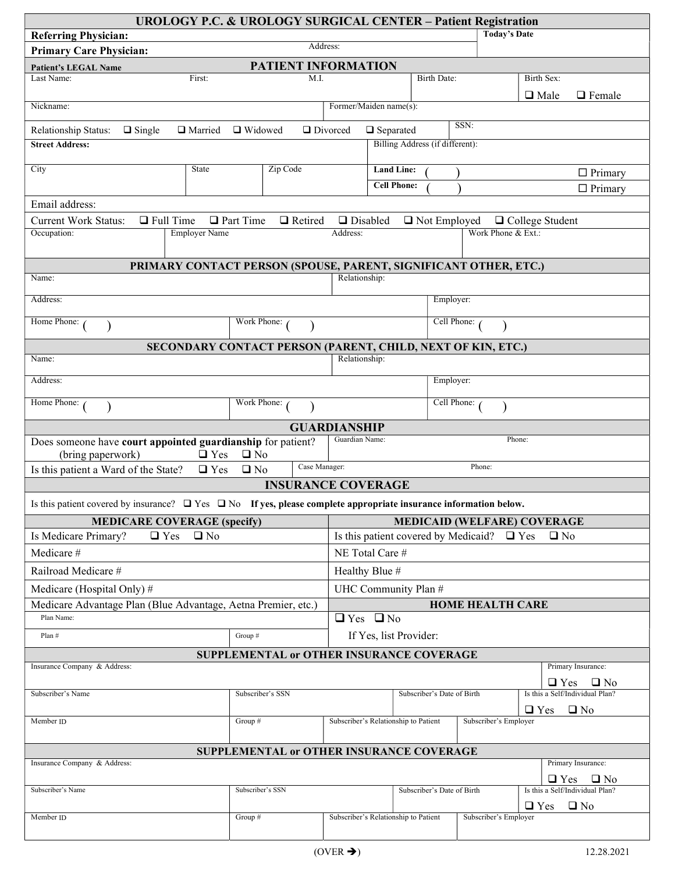| <b>UROLOGY P.C. &amp; UROLOGY SURGICAL CENTER - Patient Registration</b>                                                    |                                                                  |                                      |                                                 |                                      |                                                     |                        |                                 |  |
|-----------------------------------------------------------------------------------------------------------------------------|------------------------------------------------------------------|--------------------------------------|-------------------------------------------------|--------------------------------------|-----------------------------------------------------|------------------------|---------------------------------|--|
| <b>Today's Date</b><br><b>Referring Physician:</b><br>Address:                                                              |                                                                  |                                      |                                                 |                                      |                                                     |                        |                                 |  |
| <b>Primary Care Physician:</b>                                                                                              |                                                                  |                                      |                                                 |                                      |                                                     |                        |                                 |  |
| <b>Patient's LEGAL Name</b><br>Last Name:<br>First:                                                                         | PATIENT INFORMATION<br>M.I.                                      |                                      |                                                 | <b>Birth Date:</b>                   |                                                     | Birth Sex:             |                                 |  |
|                                                                                                                             |                                                                  |                                      |                                                 |                                      |                                                     | $\Box$ Male            | $\Box$ Female                   |  |
| Former/Maiden name(s):<br>Nickname:                                                                                         |                                                                  |                                      |                                                 |                                      |                                                     |                        |                                 |  |
| SSN:<br>□ Widowed<br>Divorced<br>Relationship Status:<br>$\Box$ Single<br>□ Married<br>$\Box$ Separated                     |                                                                  |                                      |                                                 |                                      |                                                     |                        |                                 |  |
| <b>Street Address:</b>                                                                                                      | Billing Address (if different):                                  |                                      |                                                 |                                      |                                                     |                        |                                 |  |
| City<br>State                                                                                                               | Zip Code                                                         |                                      | <b>Land Line:</b>                               |                                      |                                                     |                        | $\Box$ Primary                  |  |
|                                                                                                                             |                                                                  |                                      |                                                 | <b>Cell Phone:</b><br>$\Box$ Primary |                                                     |                        |                                 |  |
| Email address:                                                                                                              |                                                                  |                                      |                                                 |                                      |                                                     |                        |                                 |  |
| $\Box$ Full Time<br><b>Current Work Status:</b>                                                                             | □ Retired<br>$\Box$ Part Time                                    | $\Box$ Disabled                      |                                                 | $\Box$ Not Employed                  |                                                     | $\Box$ College Student |                                 |  |
| Occupation:<br><b>Employer Name</b>                                                                                         |                                                                  | Address:                             |                                                 |                                      | Work Phone & Ext.:                                  |                        |                                 |  |
|                                                                                                                             | PRIMARY CONTACT PERSON (SPOUSE, PARENT, SIGNIFICANT OTHER, ETC.) |                                      |                                                 |                                      |                                                     |                        |                                 |  |
| Name:                                                                                                                       |                                                                  | Relationship:                        |                                                 |                                      |                                                     |                        |                                 |  |
| Address:                                                                                                                    |                                                                  |                                      |                                                 |                                      | Employer:                                           |                        |                                 |  |
| Home Phone: (                                                                                                               |                                                                  | Cell Phone:                          |                                                 |                                      |                                                     |                        |                                 |  |
|                                                                                                                             | SECONDARY CONTACT PERSON (PARENT, CHILD, NEXT OF KIN, ETC.)      |                                      |                                                 |                                      |                                                     |                        |                                 |  |
| Name:                                                                                                                       |                                                                  | Relationship:                        |                                                 |                                      |                                                     |                        |                                 |  |
| Address:                                                                                                                    |                                                                  | Employer:                            |                                                 |                                      |                                                     |                        |                                 |  |
| Home Phone: (                                                                                                               | Work Phone:                                                      |                                      |                                                 | Cell Phone:                          |                                                     |                        |                                 |  |
|                                                                                                                             |                                                                  | <b>GUARDIANSHIP</b>                  |                                                 |                                      |                                                     |                        |                                 |  |
| Does someone have court appointed guardianship for patient?<br>(bring paperwork)<br>$\Box$ Yes                              | $\Box$ No                                                        | Guardian Name:                       |                                                 |                                      |                                                     | Phone:                 |                                 |  |
| Is this patient a Ward of the State?<br>$\Box$ Yes                                                                          | Case Manager:<br>$\square$ No                                    |                                      |                                                 |                                      | Phone:                                              |                        |                                 |  |
|                                                                                                                             | <b>INSURANCE COVERAGE</b>                                        |                                      |                                                 |                                      |                                                     |                        |                                 |  |
| Is this patient covered by insurance? $\Box$ Yes $\Box$ No If yes, please complete appropriate insurance information below. |                                                                  |                                      |                                                 |                                      |                                                     |                        |                                 |  |
| <b>MEDICARE COVERAGE (specify)</b>                                                                                          | <b>MEDICAID (WELFARE) COVERAGE</b>                               |                                      |                                                 |                                      |                                                     |                        |                                 |  |
| Is Medicare Primary?<br>$\Box$ Yes<br>$\Box$ No                                                                             | Is this patient covered by Medicaid? $\Box$ Yes<br>$\Box$ No     |                                      |                                                 |                                      |                                                     |                        |                                 |  |
| Medicare #                                                                                                                  | NE Total Care #                                                  |                                      |                                                 |                                      |                                                     |                        |                                 |  |
| Railroad Medicare #                                                                                                         | Healthy Blue #                                                   |                                      |                                                 |                                      |                                                     |                        |                                 |  |
| Medicare (Hospital Only)#                                                                                                   |                                                                  |                                      | UHC Community Plan #                            |                                      |                                                     |                        |                                 |  |
| Medicare Advantage Plan (Blue Advantage, Aetna Premier, etc.)<br>Plan Name:                                                 |                                                                  |                                      | <b>HOME HEALTH CARE</b><br>$\Box$ Yes $\Box$ No |                                      |                                                     |                        |                                 |  |
|                                                                                                                             |                                                                  |                                      |                                                 |                                      |                                                     |                        |                                 |  |
| If Yes, list Provider:<br>Plan #<br>Group #<br>SUPPLEMENTAL or OTHER INSURANCE COVERAGE                                     |                                                                  |                                      |                                                 |                                      |                                                     |                        |                                 |  |
| Insurance Company & Address:                                                                                                |                                                                  |                                      |                                                 |                                      |                                                     |                        | Primary Insurance:              |  |
|                                                                                                                             |                                                                  |                                      |                                                 |                                      |                                                     |                        | $\Box$ Yes $\Box$ No            |  |
| Subscriber's Name                                                                                                           | Subscriber's SSN                                                 |                                      |                                                 | Subscriber's Date of Birth           |                                                     |                        | Is this a Self/Individual Plan? |  |
| Member <sub>ID</sub>                                                                                                        | Group $#$                                                        | Subscriber's Relationship to Patient |                                                 |                                      | $\Box$ Yes<br>$\square$ No<br>Subscriber's Employer |                        |                                 |  |
|                                                                                                                             |                                                                  |                                      |                                                 |                                      |                                                     |                        |                                 |  |
| SUPPLEMENTAL or OTHER INSURANCE COVERAGE<br>Primary Insurance:<br>Insurance Company & Address:                              |                                                                  |                                      |                                                 |                                      |                                                     |                        |                                 |  |
|                                                                                                                             |                                                                  |                                      |                                                 |                                      |                                                     |                        | $\Box$ Yes $\Box$ No            |  |
| Subscriber's Name                                                                                                           | Subscriber's SSN                                                 |                                      | Subscriber's Date of Birth                      |                                      | Is this a Self/Individual Plan?                     |                        |                                 |  |
| Member <sub>ID</sub>                                                                                                        | Group $#$                                                        |                                      | Subscriber's Relationship to Patient            |                                      | Subscriber's Employer                               | $\Box$ Yes             | $\square$ No                    |  |